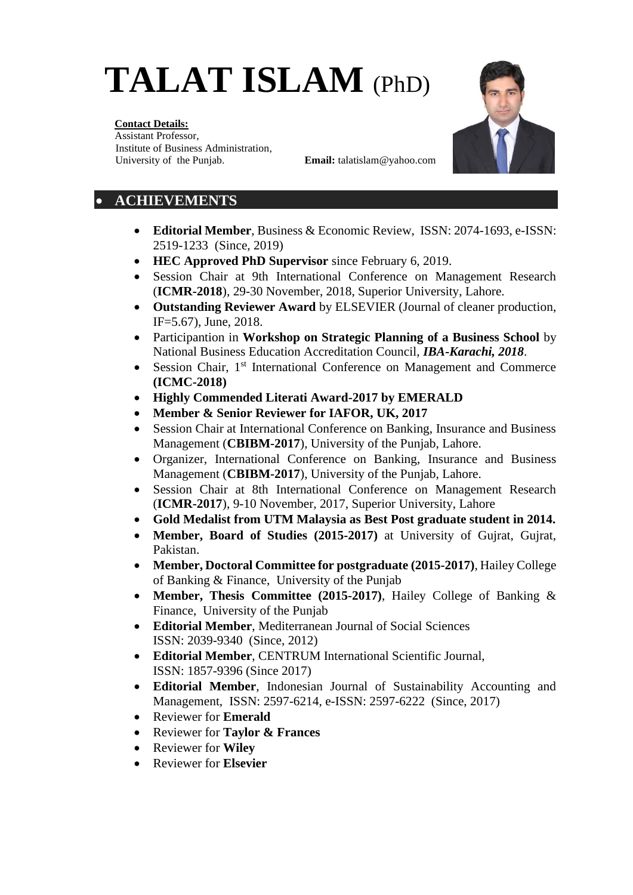# **TALAT ISLAM** (PhD)



#### **Contact Details:**

Assistant Professor, Institute of Business Administration, University of the Punjab. **Email:** talatislam@yahoo.com

## • **ACHIEVEMENTS**

- **Editorial Member**, Business & Economic Review, ISSN: 2074-1693, e-ISSN: 2519-1233 (Since, 2019)
- **HEC Approved PhD Supervisor** since February 6, 2019.
- Session Chair at 9th International Conference on Management Research (**ICMR-2018**), 29-30 November, 2018, Superior University, Lahore.
- **Outstanding Reviewer Award** by ELSEVIER (Journal of cleaner production, IF=5.67), June, 2018.
- Participantion in **Workshop on Strategic Planning of a Business School** by National Business Education Accreditation Council, *IBA-Karachi, 2018*.
- Session Chair, 1<sup>st</sup> International Conference on Management and Commerce **(ICMC-2018)**
- **Highly Commended Literati Award-2017 by EMERALD**
- **Member & Senior Reviewer for IAFOR, UK, 2017**
- Session Chair at International Conference on Banking, Insurance and Business Management (**CBIBM-2017**), University of the Punjab, Lahore.
- Organizer, International Conference on Banking, Insurance and Business Management (**CBIBM-2017**), University of the Punjab, Lahore.
- Session Chair at 8th International Conference on Management Research (**ICMR-2017**), 9-10 November, 2017, Superior University, Lahore
- **Gold Medalist from UTM Malaysia as Best Post graduate student in 2014.**
- **Member, Board of Studies (2015-2017)** at University of Gujrat, Gujrat, Pakistan.
- **Member, Doctoral Committee for postgraduate (2015-2017)**, Hailey College of Banking & Finance, University of the Punjab
- **Member, Thesis Committee (2015-2017)**, Hailey College of Banking & Finance, University of the Punjab
- **Editorial Member**, Mediterranean Journal of Social Sciences ISSN: 2039-9340 (Since, 2012)
- **Editorial Member**, CENTRUM International Scientific Journal, ISSN: 1857-9396 (Since 2017)
- **Editorial Member**, Indonesian Journal of Sustainability Accounting and Management, ISSN: 2597-6214, e-ISSN: 2597-6222 (Since, 2017)
- Reviewer for **Emerald**
- Reviewer for **Taylor & Frances**
- Reviewer for **Wiley**
- Reviewer for **Elsevier**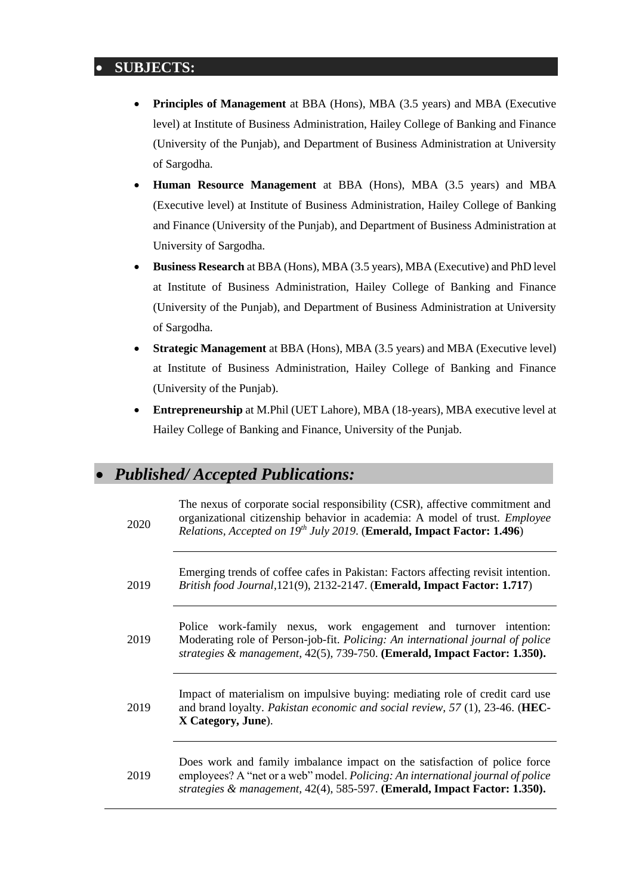## • **SUBJECTS:**

- **Principles of Management** at BBA (Hons), MBA (3.5 years) and MBA (Executive level) at Institute of Business Administration, Hailey College of Banking and Finance (University of the Punjab), and Department of Business Administration at University of Sargodha.
- **Human Resource Management** at BBA (Hons), MBA (3.5 years) and MBA (Executive level) at Institute of Business Administration, Hailey College of Banking and Finance (University of the Punjab), and Department of Business Administration at University of Sargodha.
- **Business Research** at BBA (Hons), MBA (3.5 years), MBA (Executive) and PhD level at Institute of Business Administration, Hailey College of Banking and Finance (University of the Punjab), and Department of Business Administration at University of Sargodha.
- **Strategic Management** at BBA (Hons), MBA (3.5 years) and MBA (Executive level) at Institute of Business Administration, Hailey College of Banking and Finance (University of the Punjab).
- **Entrepreneurship** at M.Phil (UET Lahore), MBA (18-years), MBA executive level at Hailey College of Banking and Finance, University of the Punjab.

# • *Published/ Accepted Publications:*

| 2020 | The nexus of corporate social responsibility (CSR), affective commitment and<br>organizational citizenship behavior in academia: A model of trust. <i>Employee</i><br>Relations, Accepted on 19th July 2019. (Emerald, Impact Factor: 1.496)     |
|------|--------------------------------------------------------------------------------------------------------------------------------------------------------------------------------------------------------------------------------------------------|
| 2019 | Emerging trends of coffee cafes in Pakistan: Factors affecting revisit intention.<br>British food Journal, 121(9), 2132-2147. (Emerald, Impact Factor: 1.717)                                                                                    |
| 2019 | Police work-family nexus, work engagement and turnover intention:<br>Moderating role of Person-job-fit. Policing: An international journal of police<br>strategies & management, 42(5), 739-750. (Emerald, Impact Factor: 1.350).                |
| 2019 | Impact of materialism on impulsive buying: mediating role of credit card use<br>and brand loyalty. Pakistan economic and social review, $57$ (1), 23-46. (HEC-<br>X Category, June).                                                             |
| 2019 | Does work and family imbalance impact on the satisfaction of police force<br>employees? A "net or a web" model. <i>Policing: An international journal of police</i><br>strategies & management, 42(4), 585-597. (Emerald, Impact Factor: 1.350). |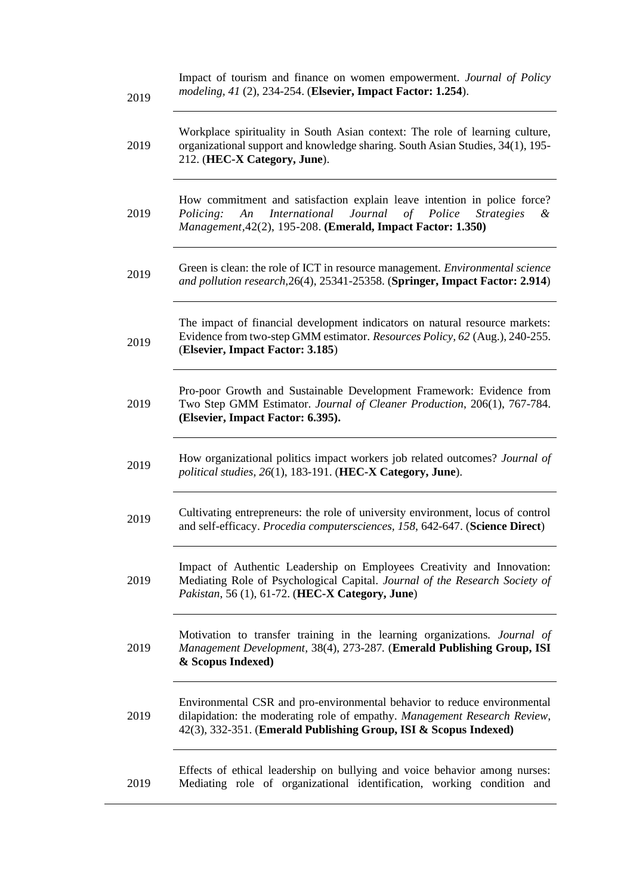| 2019 | Impact of tourism and finance on women empowerment. Journal of Policy<br>modeling, 41 (2), 234-254. (Elsevier, Impact Factor: 1.254).                                                                                                |
|------|--------------------------------------------------------------------------------------------------------------------------------------------------------------------------------------------------------------------------------------|
| 2019 | Workplace spirituality in South Asian context: The role of learning culture,<br>organizational support and knowledge sharing. South Asian Studies, 34(1), 195-<br>212. (HEC-X Category, June).                                       |
| 2019 | How commitment and satisfaction explain leave intention in police force?<br><i>International</i><br>Journal<br>of Police<br>Policing:<br>An<br><b>Strategies</b><br>&<br>Management, 42(2), 195-208. (Emerald, Impact Factor: 1.350) |
| 2019 | Green is clean: the role of ICT in resource management. Environmental science<br>and pollution research, 26(4), 25341-25358. (Springer, Impact Factor: 2.914)                                                                        |
| 2019 | The impact of financial development indicators on natural resource markets:<br>Evidence from two-step GMM estimator. Resources Policy, 62 (Aug.), 240-255.<br>(Elsevier, Impact Factor: 3.185)                                       |
| 2019 | Pro-poor Growth and Sustainable Development Framework: Evidence from<br>Two Step GMM Estimator. Journal of Cleaner Production, 206(1), 767-784.<br>(Elsevier, Impact Factor: 6.395).                                                 |
| 2019 | How organizational politics impact workers job related outcomes? Journal of<br>political studies, 26(1), 183-191. (HEC-X Category, June).                                                                                            |
| 2019 | Cultivating entrepreneurs: the role of university environment, locus of control<br>and self-efficacy. Procedia computersciences, 158, 642-647. (Science Direct)                                                                      |
| 2019 | Impact of Authentic Leadership on Employees Creativity and Innovation:<br>Mediating Role of Psychological Capital. Journal of the Research Society of<br>Pakistan, 56 (1), 61-72. (HEC-X Category, June)                             |
| 2019 | Motivation to transfer training in the learning organizations. Journal of<br>Management Development, 38(4), 273-287. (Emerald Publishing Group, ISI<br>& Scopus Indexed)                                                             |
| 2019 | Environmental CSR and pro-environmental behavior to reduce environmental<br>dilapidation: the moderating role of empathy. Management Research Review,<br>42(3), 332-351. (Emerald Publishing Group, ISI & Scopus Indexed)            |
| 2019 | Effects of ethical leadership on bullying and voice behavior among nurses:<br>Mediating role of organizational identification, working condition and                                                                                 |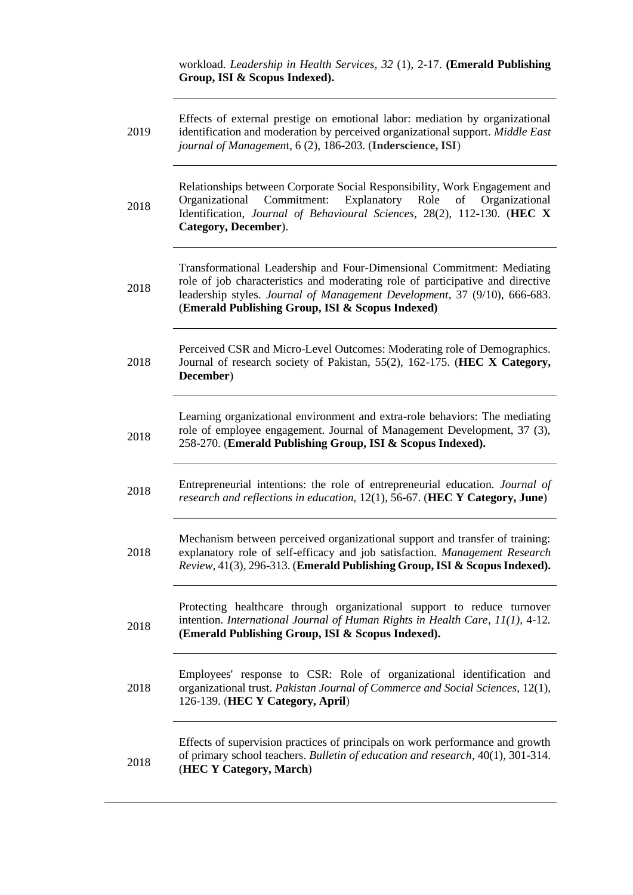workload. *Leadership in Health Services, 32* (1), 2-17. **(Emerald Publishing Group, ISI & Scopus Indexed).**

| 2019 | Effects of external prestige on emotional labor: mediation by organizational<br>identification and moderation by perceived organizational support. Middle East<br>journal of Management, 6 (2), 186-203. (Inderscience, ISI)                                                              |
|------|-------------------------------------------------------------------------------------------------------------------------------------------------------------------------------------------------------------------------------------------------------------------------------------------|
| 2018 | Relationships between Corporate Social Responsibility, Work Engagement and<br>Commitment:<br>Explanatory<br>Organizational<br>Role<br>Organizational<br>of<br>Identification, Journal of Behavioural Sciences, 28(2), 112-130. (HEC X<br>Category, December).                             |
| 2018 | Transformational Leadership and Four-Dimensional Commitment: Mediating<br>role of job characteristics and moderating role of participative and directive<br>leadership styles. Journal of Management Development, 37 (9/10), 666-683.<br>(Emerald Publishing Group, ISI & Scopus Indexed) |
| 2018 | Perceived CSR and Micro-Level Outcomes: Moderating role of Demographics.<br>Journal of research society of Pakistan, 55(2), 162-175. (HEC X Category,<br>December)                                                                                                                        |
| 2018 | Learning organizational environment and extra-role behaviors: The mediating<br>role of employee engagement. Journal of Management Development, 37 (3),<br>258-270. (Emerald Publishing Group, ISI & Scopus Indexed).                                                                      |
| 2018 | Entrepreneurial intentions: the role of entrepreneurial education. Journal of<br>research and reflections in education, 12(1), 56-67. (HEC Y Category, June)                                                                                                                              |
| 2018 | Mechanism between perceived organizational support and transfer of training:<br>explanatory role of self-efficacy and job satisfaction. Management Research<br>Review, 41(3), 296-313. (Emerald Publishing Group, ISI & Scopus Indexed).                                                  |
| 2018 | Protecting healthcare through organizational support to reduce turnover<br>intention. International Journal of Human Rights in Health Care, 11(1), 4-12.<br>(Emerald Publishing Group, ISI & Scopus Indexed).                                                                             |
| 2018 | Employees' response to CSR: Role of organizational identification and<br>organizational trust. Pakistan Journal of Commerce and Social Sciences, 12(1),<br>126-139. (HEC Y Category, April)                                                                                               |
| 2018 | Effects of supervision practices of principals on work performance and growth<br>of primary school teachers. Bulletin of education and research, 40(1), 301-314.<br>(HEC Y Category, March)                                                                                               |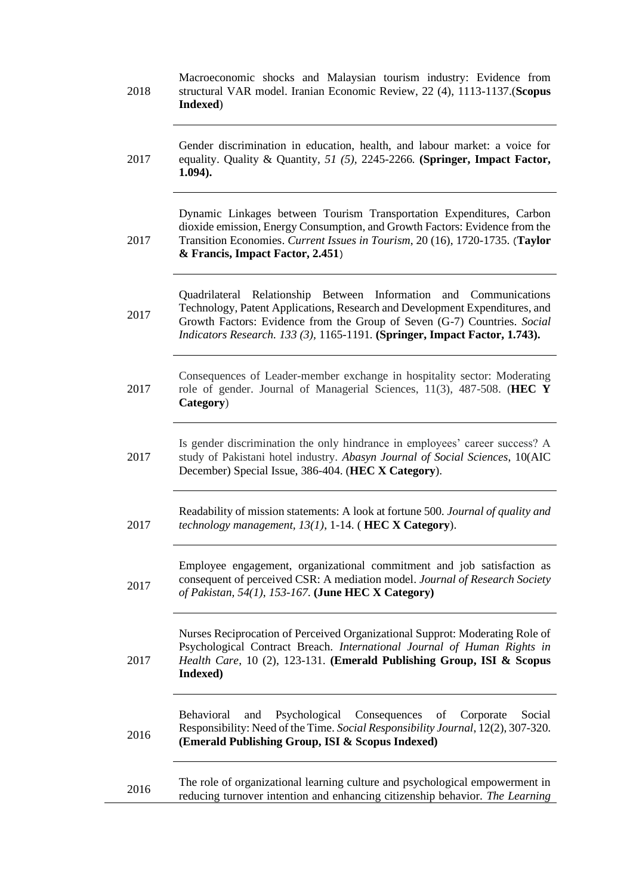| 2018 | Macroeconomic shocks and Malaysian tourism industry: Evidence from<br>structural VAR model. Iranian Economic Review, 22 (4), 1113-1137. (Scopus<br>Indexed)                                                                                                                                                   |
|------|---------------------------------------------------------------------------------------------------------------------------------------------------------------------------------------------------------------------------------------------------------------------------------------------------------------|
| 2017 | Gender discrimination in education, health, and labour market: a voice for<br>equality. Quality & Quantity, 51 (5), 2245-2266. (Springer, Impact Factor,<br>$1.094$ ).                                                                                                                                        |
| 2017 | Dynamic Linkages between Tourism Transportation Expenditures, Carbon<br>dioxide emission, Energy Consumption, and Growth Factors: Evidence from the<br>Transition Economies. Current Issues in Tourism, 20 (16), 1720-1735. (Taylor<br>& Francis, Impact Factor, 2.451)                                       |
| 2017 | Relationship Between Information and Communications<br>Quadrilateral<br>Technology, Patent Applications, Research and Development Expenditures, and<br>Growth Factors: Evidence from the Group of Seven (G-7) Countries. Social<br>Indicators Research. 133 (3), 1165-1191. (Springer, Impact Factor, 1.743). |
| 2017 | Consequences of Leader-member exchange in hospitality sector: Moderating<br>role of gender. Journal of Managerial Sciences, 11(3), 487-508. (HEC Y<br>Category)                                                                                                                                               |
| 2017 | Is gender discrimination the only hindrance in employees' career success? A<br>study of Pakistani hotel industry. Abasyn Journal of Social Sciences, 10(AIC<br>December) Special Issue, 386-404. (HEC X Category).                                                                                            |
| 2017 | Readability of mission statements: A look at fortune 500. Journal of quality and<br>technology management, $13(1)$ , 1-14. (HEC X Category).                                                                                                                                                                  |
| 2017 | Employee engagement, organizational commitment and job satisfaction as<br>consequent of perceived CSR: A mediation model. Journal of Research Society<br>of Pakistan, 54(1), 153-167. (June HEC X Category)                                                                                                   |
| 2017 | Nurses Reciprocation of Perceived Organizational Supprot: Moderating Role of<br>Psychological Contract Breach. International Journal of Human Rights in<br>Health Care, 10 (2), 123-131. (Emerald Publishing Group, ISI & Scopus<br>Indexed)                                                                  |
| 2016 | Psychological Consequences of<br>Social<br><b>Behavioral</b><br>and<br>Corporate<br>Responsibility: Need of the Time. Social Responsibility Journal, 12(2), 307-320.<br>(Emerald Publishing Group, ISI & Scopus Indexed)                                                                                      |
| 2016 | The role of organizational learning culture and psychological empowerment in<br>reducing turnover intention and enhancing citizenship behavior. The Learning                                                                                                                                                  |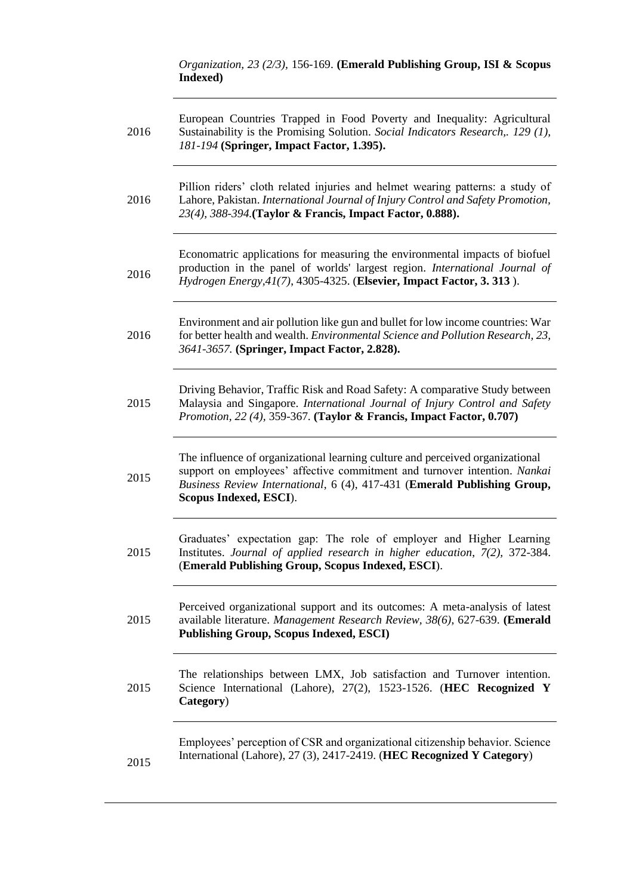*Organization, 23 (2/3),* 156-169. **(Emerald Publishing Group, ISI & Scopus Indexed)**

| 2016 | European Countries Trapped in Food Poverty and Inequality: Agricultural<br>Sustainability is the Promising Solution. Social Indicators Research,. 129 (1),<br>181-194 (Springer, Impact Factor, 1.395).                                                          |
|------|------------------------------------------------------------------------------------------------------------------------------------------------------------------------------------------------------------------------------------------------------------------|
| 2016 | Pillion riders' cloth related injuries and helmet wearing patterns: a study of<br>Lahore, Pakistan. International Journal of Injury Control and Safety Promotion,<br>23(4), 388-394. (Taylor & Francis, Impact Factor, 0.888).                                   |
| 2016 | Economatric applications for measuring the environmental impacts of biofuel<br>production in the panel of worlds' largest region. International Journal of<br>Hydrogen Energy, 41(7), 4305-4325. (Elsevier, Impact Factor, 3. 313).                              |
| 2016 | Environment and air pollution like gun and bullet for low income countries: War<br>for better health and wealth. Environmental Science and Pollution Research, 23,<br>3641-3657. (Springer, Impact Factor, 2.828).                                               |
| 2015 | Driving Behavior, Traffic Risk and Road Safety: A comparative Study between<br>Malaysia and Singapore. International Journal of Injury Control and Safety<br><i>Promotion, 22 (4), 359-367. (Taylor &amp; Francis, Impact Factor, 0.707)</i>                     |
| 2015 | The influence of organizational learning culture and perceived organizational<br>support on employees' affective commitment and turnover intention. Nankai<br>Business Review International, 6 (4), 417-431 (Emerald Publishing Group,<br>Scopus Indexed, ESCI). |
| 2015 | Graduates' expectation gap: The role of employer and Higher Learning<br>Institutes. Journal of applied research in higher education, 7(2), 372-384.<br>(Emerald Publishing Group, Scopus Indexed, ESCI).                                                         |
| 2015 | Perceived organizational support and its outcomes: A meta-analysis of latest<br>available literature. Management Research Review, 38(6), 627-639. (Emerald<br><b>Publishing Group, Scopus Indexed, ESCI)</b>                                                     |
| 2015 | The relationships between LMX, Job satisfaction and Turnover intention.<br>Science International (Lahore), 27(2), 1523-1526. (HEC Recognized Y<br>Category)                                                                                                      |
| 2015 | Employees' perception of CSR and organizational citizenship behavior. Science<br>International (Lahore), 27 (3), 2417-2419. (HEC Recognized Y Category)                                                                                                          |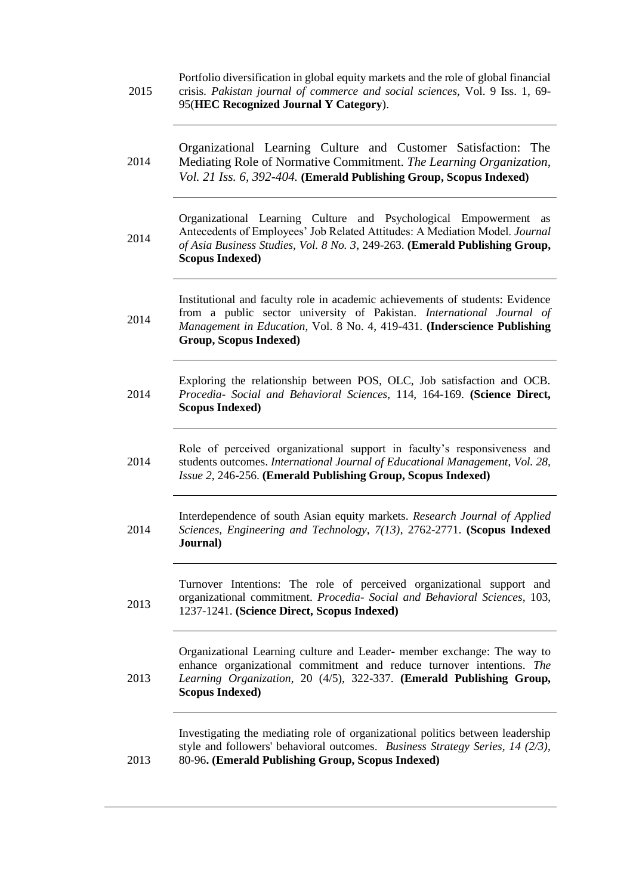| 2015 | Portfolio diversification in global equity markets and the role of global financial<br>crisis. Pakistan journal of commerce and social sciences, Vol. 9 Iss. 1, 69-<br>95(HEC Recognized Journal Y Category).                                                       |
|------|---------------------------------------------------------------------------------------------------------------------------------------------------------------------------------------------------------------------------------------------------------------------|
| 2014 | Organizational Learning Culture and Customer Satisfaction:<br>The<br>Mediating Role of Normative Commitment. The Learning Organization,<br>Vol. 21 Iss. 6, 392-404. (Emerald Publishing Group, Scopus Indexed)                                                      |
| 2014 | Organizational Learning Culture and Psychological Empowerment as<br>Antecedents of Employees' Job Related Attitudes: A Mediation Model. Journal<br>of Asia Business Studies, Vol. 8 No. 3, 249-263. (Emerald Publishing Group,<br><b>Scopus Indexed)</b>            |
| 2014 | Institutional and faculty role in academic achievements of students: Evidence<br>from a public sector university of Pakistan. International Journal of<br>Management in Education, Vol. 8 No. 4, 419-431. (Inderscience Publishing<br><b>Group, Scopus Indexed)</b> |
| 2014 | Exploring the relationship between POS, OLC, Job satisfaction and OCB.<br>Procedia- Social and Behavioral Sciences, 114, 164-169. (Science Direct,<br><b>Scopus Indexed)</b>                                                                                        |
| 2014 | Role of perceived organizational support in faculty's responsiveness and<br>students outcomes. International Journal of Educational Management, Vol. 28,<br>Issue 2, 246-256. (Emerald Publishing Group, Scopus Indexed)                                            |
| 2014 | Interdependence of south Asian equity markets. Research Journal of Applied<br>Sciences, Engineering and Technology, 7(13), 2762-2771. (Scopus Indexed<br>Journal)                                                                                                   |
| 2013 | Turnover Intentions: The role of perceived organizational support and<br>organizational commitment. Procedia- Social and Behavioral Sciences, 103,<br>1237-1241. (Science Direct, Scopus Indexed)                                                                   |
| 2013 | Organizational Learning culture and Leader- member exchange: The way to<br>enhance organizational commitment and reduce turnover intentions. The<br>Learning Organization, 20 (4/5), 322-337. (Emerald Publishing Group,<br><b>Scopus Indexed)</b>                  |
| 2013 | Investigating the mediating role of organizational politics between leadership<br>style and followers' behavioral outcomes. Business Strategy Series, 14 (2/3),<br>80-96. (Emerald Publishing Group, Scopus Indexed)                                                |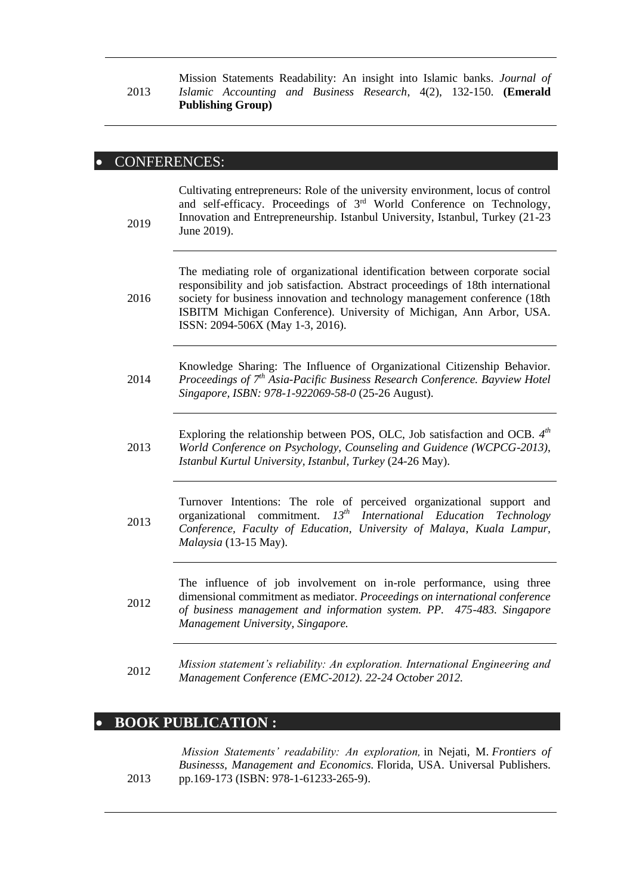#### 2013 Mission Statements Readability: An insight into Islamic banks. *Journal of Islamic Accounting and Business Research*, 4(2), 132-150. **(Emerald Publishing Group)**

## • CONFERENCES:

| 2019 | Cultivating entrepreneurs: Role of the university environment, locus of control<br>and self-efficacy. Proceedings of 3rd World Conference on Technology,<br>Innovation and Entrepreneurship. Istanbul University, Istanbul, Turkey (21-23)<br>June 2019).                                                                                                 |
|------|-----------------------------------------------------------------------------------------------------------------------------------------------------------------------------------------------------------------------------------------------------------------------------------------------------------------------------------------------------------|
| 2016 | The mediating role of organizational identification between corporate social<br>responsibility and job satisfaction. Abstract proceedings of 18th international<br>society for business innovation and technology management conference (18th<br>ISBITM Michigan Conference). University of Michigan, Ann Arbor, USA.<br>ISSN: 2094-506X (May 1-3, 2016). |
| 2014 | Knowledge Sharing: The Influence of Organizational Citizenship Behavior.<br>Proceedings of 7 <sup>th</sup> Asia-Pacific Business Research Conference. Bayview Hotel<br>Singapore, ISBN: 978-1-922069-58-0 (25-26 August).                                                                                                                                 |
| 2013 | Exploring the relationship between POS, OLC, Job satisfaction and OCB. $4th$<br>World Conference on Psychology, Counseling and Guidence (WCPCG-2013),<br>Istanbul Kurtul University, Istanbul, Turkey (24-26 May).                                                                                                                                        |
| 2013 | Turnover Intentions: The role of perceived organizational support and<br>$13^{th}$<br>organizational<br>commitment.<br>International Education<br>Technology<br>Conference, Faculty of Education, University of Malaya, Kuala Lampur,<br>Malaysia (13-15 May).                                                                                            |
| 2012 | The influence of job involvement on in-role performance, using three<br>dimensional commitment as mediator. Proceedings on international conference<br>of business management and information system. PP. 475-483. Singapore<br>Management University, Singapore.                                                                                         |
| 2012 | Mission statement's reliability: An exploration. International Engineering and<br>Management Conference (EMC-2012). 22-24 October 2012.                                                                                                                                                                                                                   |

# • **BOOK PUBLICATION :**

2013

*Mission Statements' readability: An exploration,* in Nejati, M. *Frontiers of Businesss, Management and Economics.* Florida, USA. Universal Publishers. pp.169-173 (ISBN: 978-1-61233-265-9).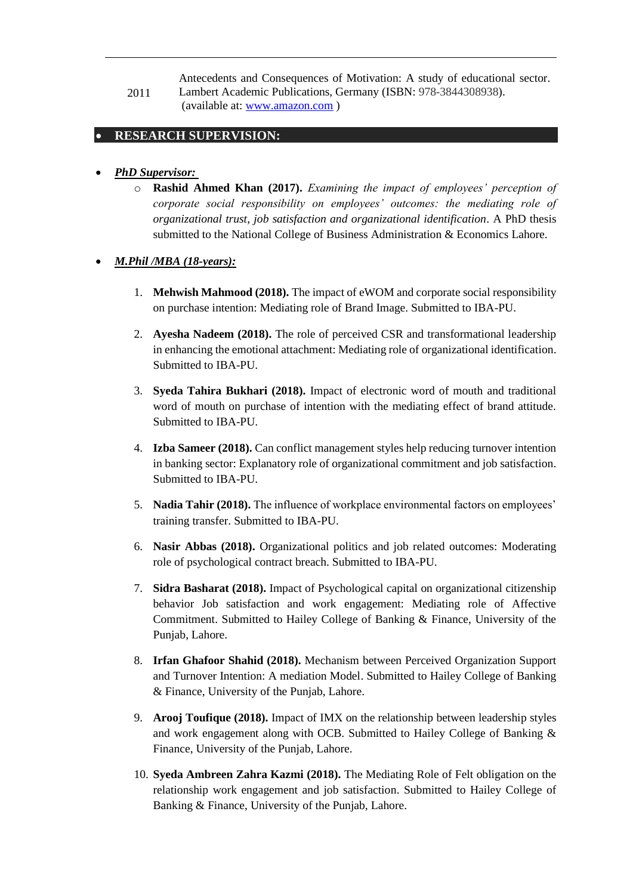2011 Antecedents and Consequences of Motivation: A study of educational sector. Lambert Academic Publications, Germany (ISBN: 978-3844308938). (available at: [www.amazon.com](http://www.amazon.com/) )

## • **RESEARCH SUPERVISION:**

## • *PhD Supervisor:*

o **Rashid Ahmed Khan (2017).** *Examining the impact of employees' perception of corporate social responsibility on employees' outcomes: the mediating role of organizational trust, job satisfaction and organizational identification*. A PhD thesis submitted to the National College of Business Administration & Economics Lahore.

## • *M.Phil /MBA (18-years):*

- 1. **Mehwish Mahmood (2018).** The impact of eWOM and corporate social responsibility on purchase intention: Mediating role of Brand Image. Submitted to IBA-PU.
- 2. **Ayesha Nadeem (2018).** The role of perceived CSR and transformational leadership in enhancing the emotional attachment: Mediating role of organizational identification. Submitted to IBA-PU.
- 3. **Syeda Tahira Bukhari (2018).** Impact of electronic word of mouth and traditional word of mouth on purchase of intention with the mediating effect of brand attitude. Submitted to IBA-PU.
- 4. **Izba Sameer (2018).** Can conflict management styles help reducing turnover intention in banking sector: Explanatory role of organizational commitment and job satisfaction. Submitted to IBA-PU.
- 5. **Nadia Tahir (2018).** The influence of workplace environmental factors on employees' training transfer. Submitted to IBA-PU.
- 6. **Nasir Abbas (2018).** Organizational politics and job related outcomes: Moderating role of psychological contract breach. Submitted to IBA-PU.
- 7. **Sidra Basharat (2018).** Impact of Psychological capital on organizational citizenship behavior Job satisfaction and work engagement: Mediating role of Affective Commitment. Submitted to Hailey College of Banking & Finance, University of the Punjab, Lahore.
- 8. **Irfan Ghafoor Shahid (2018).** Mechanism between Perceived Organization Support and Turnover Intention: A mediation Model. Submitted to Hailey College of Banking & Finance, University of the Punjab, Lahore.
- 9. **Arooj Toufique (2018).** Impact of IMX on the relationship between leadership styles and work engagement along with OCB. Submitted to Hailey College of Banking & Finance, University of the Punjab, Lahore.
- 10. **Syeda Ambreen Zahra Kazmi (2018).** The Mediating Role of Felt obligation on the relationship work engagement and job satisfaction. Submitted to Hailey College of Banking & Finance, University of the Punjab, Lahore.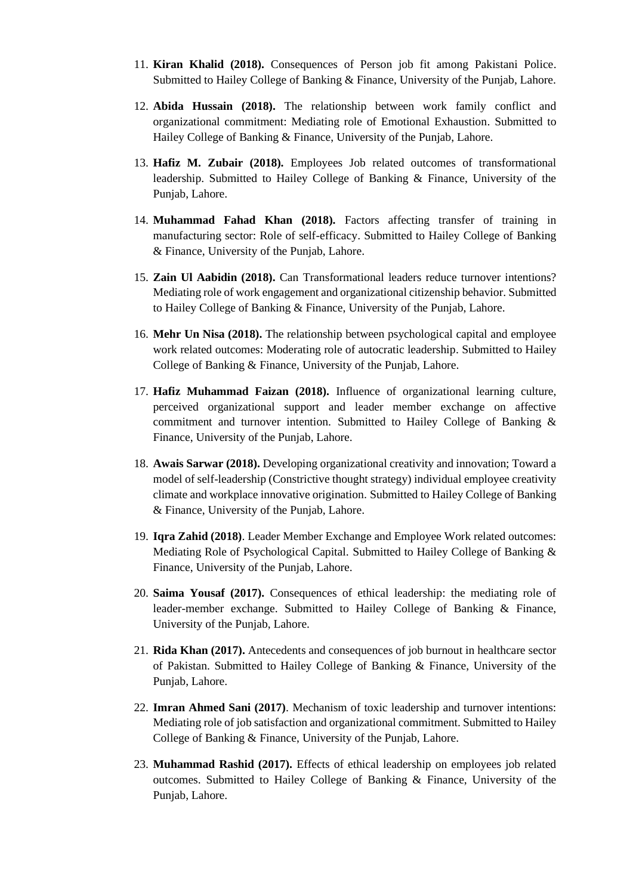- 11. **Kiran Khalid (2018).** Consequences of Person job fit among Pakistani Police. Submitted to Hailey College of Banking & Finance, University of the Punjab, Lahore.
- 12. **Abida Hussain (2018).** The relationship between work family conflict and organizational commitment: Mediating role of Emotional Exhaustion. Submitted to Hailey College of Banking & Finance, University of the Punjab, Lahore.
- 13. **Hafiz M. Zubair (2018).** Employees Job related outcomes of transformational leadership. Submitted to Hailey College of Banking & Finance, University of the Punjab, Lahore.
- 14. **Muhammad Fahad Khan (2018).** Factors affecting transfer of training in manufacturing sector: Role of self-efficacy. Submitted to Hailey College of Banking & Finance, University of the Punjab, Lahore.
- 15. **Zain Ul Aabidin (2018).** Can Transformational leaders reduce turnover intentions? Mediating role of work engagement and organizational citizenship behavior. Submitted to Hailey College of Banking & Finance, University of the Punjab, Lahore.
- 16. **Mehr Un Nisa (2018).** The relationship between psychological capital and employee work related outcomes: Moderating role of autocratic leadership. Submitted to Hailey College of Banking & Finance, University of the Punjab, Lahore.
- 17. **Hafiz Muhammad Faizan (2018).** Influence of organizational learning culture, perceived organizational support and leader member exchange on affective commitment and turnover intention. Submitted to Hailey College of Banking & Finance, University of the Punjab, Lahore.
- 18. **Awais Sarwar (2018).** Developing organizational creativity and innovation; Toward a model of self-leadership (Constrictive thought strategy) individual employee creativity climate and workplace innovative origination. Submitted to Hailey College of Banking & Finance, University of the Punjab, Lahore.
- 19. **Iqra Zahid (2018)**. Leader Member Exchange and Employee Work related outcomes: Mediating Role of Psychological Capital. Submitted to Hailey College of Banking & Finance, University of the Punjab, Lahore.
- 20. **Saima Yousaf (2017).** Consequences of ethical leadership: the mediating role of leader-member exchange. Submitted to Hailey College of Banking & Finance, University of the Punjab, Lahore.
- 21. **Rida Khan (2017).** Antecedents and consequences of job burnout in healthcare sector of Pakistan. Submitted to Hailey College of Banking & Finance, University of the Punjab, Lahore.
- 22. **Imran Ahmed Sani (2017)**. Mechanism of toxic leadership and turnover intentions: Mediating role of job satisfaction and organizational commitment. Submitted to Hailey College of Banking & Finance, University of the Punjab, Lahore.
- 23. **Muhammad Rashid (2017).** Effects of ethical leadership on employees job related outcomes. Submitted to Hailey College of Banking & Finance, University of the Punjab, Lahore.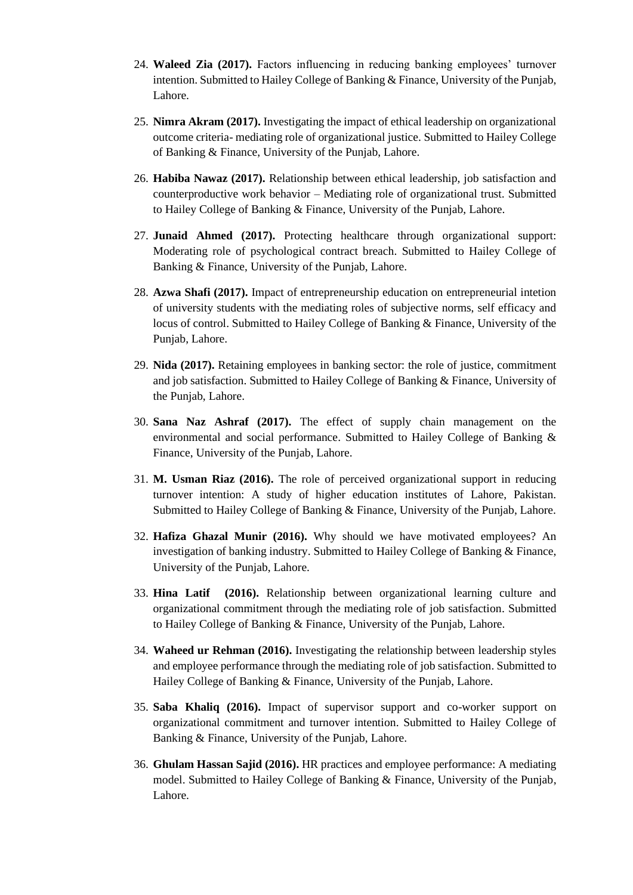- 24. **Waleed Zia (2017).** Factors influencing in reducing banking employees' turnover intention. Submitted to Hailey College of Banking & Finance, University of the Punjab, Lahore.
- 25. **Nimra Akram (2017).** Investigating the impact of ethical leadership on organizational outcome criteria- mediating role of organizational justice. Submitted to Hailey College of Banking & Finance, University of the Punjab, Lahore.
- 26. **Habiba Nawaz (2017).** Relationship between ethical leadership, job satisfaction and counterproductive work behavior – Mediating role of organizational trust. Submitted to Hailey College of Banking & Finance, University of the Punjab, Lahore.
- 27. **Junaid Ahmed (2017).** Protecting healthcare through organizational support: Moderating role of psychological contract breach. Submitted to Hailey College of Banking & Finance, University of the Punjab, Lahore.
- 28. **Azwa Shafi (2017).** Impact of entrepreneurship education on entrepreneurial intetion of university students with the mediating roles of subjective norms, self efficacy and locus of control. Submitted to Hailey College of Banking & Finance, University of the Punjab, Lahore.
- 29. **Nida (2017).** Retaining employees in banking sector: the role of justice, commitment and job satisfaction. Submitted to Hailey College of Banking & Finance, University of the Punjab, Lahore.
- 30. **Sana Naz Ashraf (2017).** The effect of supply chain management on the environmental and social performance. Submitted to Hailey College of Banking & Finance, University of the Punjab, Lahore.
- 31. **M. Usman Riaz (2016).** The role of perceived organizational support in reducing turnover intention: A study of higher education institutes of Lahore, Pakistan. Submitted to Hailey College of Banking & Finance, University of the Punjab, Lahore.
- 32. **Hafiza Ghazal Munir (2016).** Why should we have motivated employees? An investigation of banking industry. Submitted to Hailey College of Banking & Finance, University of the Punjab, Lahore.
- 33. **Hina Latif (2016).** Relationship between organizational learning culture and organizational commitment through the mediating role of job satisfaction. Submitted to Hailey College of Banking & Finance, University of the Punjab, Lahore.
- 34. **Waheed ur Rehman (2016).** Investigating the relationship between leadership styles and employee performance through the mediating role of job satisfaction. Submitted to Hailey College of Banking & Finance, University of the Punjab, Lahore.
- 35. **Saba Khaliq (2016).** Impact of supervisor support and co-worker support on organizational commitment and turnover intention. Submitted to Hailey College of Banking & Finance, University of the Punjab, Lahore.
- 36. **Ghulam Hassan Sajid (2016).** HR practices and employee performance: A mediating model. Submitted to Hailey College of Banking & Finance, University of the Punjab, Lahore.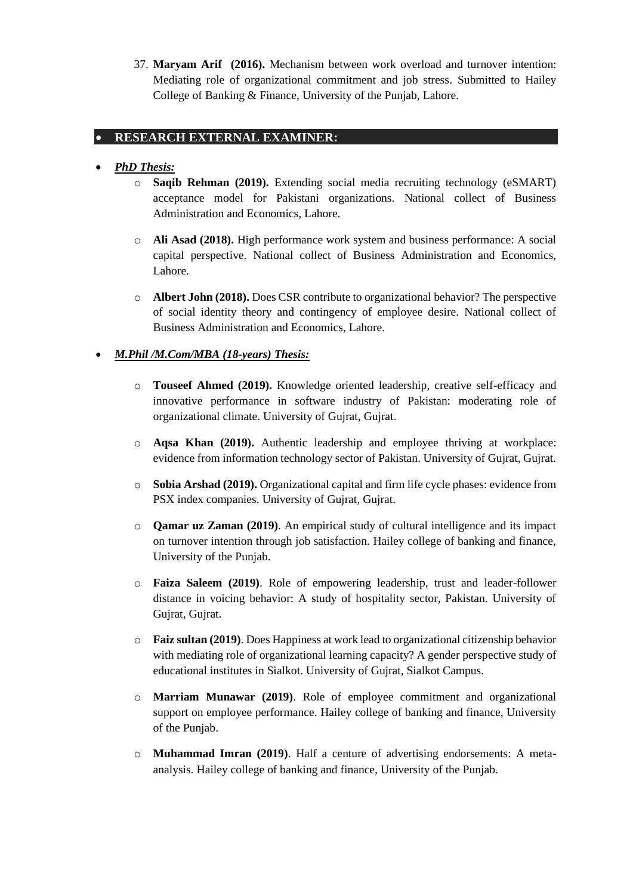37. **Maryam Arif (2016).** Mechanism between work overload and turnover intention: Mediating role of organizational commitment and job stress. Submitted to Hailey College of Banking & Finance, University of the Punjab, Lahore.

## • **RESEARCH EXTERNAL EXAMINER:**

## • *PhD Thesis:*

- o **Saqib Rehman (2019).** Extending social media recruiting technology (eSMART) acceptance model for Pakistani organizations. National collect of Business Administration and Economics, Lahore.
- o **Ali Asad (2018).** High performance work system and business performance: A social capital perspective. National collect of Business Administration and Economics, Lahore.
- o **Albert John (2018).** Does CSR contribute to organizational behavior? The perspective of social identity theory and contingency of employee desire. National collect of Business Administration and Economics, Lahore.

## • *M.Phil /M.Com/MBA (18-years) Thesis:*

- o **Touseef Ahmed (2019).** Knowledge oriented leadership, creative self-efficacy and innovative performance in software industry of Pakistan: moderating role of organizational climate. University of Gujrat, Gujrat.
- o **Aqsa Khan (2019).** Authentic leadership and employee thriving at workplace: evidence from information technology sector of Pakistan. University of Gujrat, Gujrat.
- o **Sobia Arshad (2019).** Organizational capital and firm life cycle phases: evidence from PSX index companies. University of Gujrat, Gujrat.
- o **Qamar uz Zaman (2019)**. An empirical study of cultural intelligence and its impact on turnover intention through job satisfaction. Hailey college of banking and finance, University of the Punjab.
- o **Faiza Saleem (2019)**. Role of empowering leadership, trust and leader-follower distance in voicing behavior: A study of hospitality sector, Pakistan. University of Gujrat, Gujrat.
- o **Faiz sultan (2019)**. Does Happiness at work lead to organizational citizenship behavior with mediating role of organizational learning capacity? A gender perspective study of educational institutes in Sialkot. University of Gujrat, Sialkot Campus.
- o **Marriam Munawar (2019)**. Role of employee commitment and organizational support on employee performance. Hailey college of banking and finance, University of the Punjab.
- o **Muhammad Imran (2019)**. Half a centure of advertising endorsements: A metaanalysis. Hailey college of banking and finance, University of the Punjab.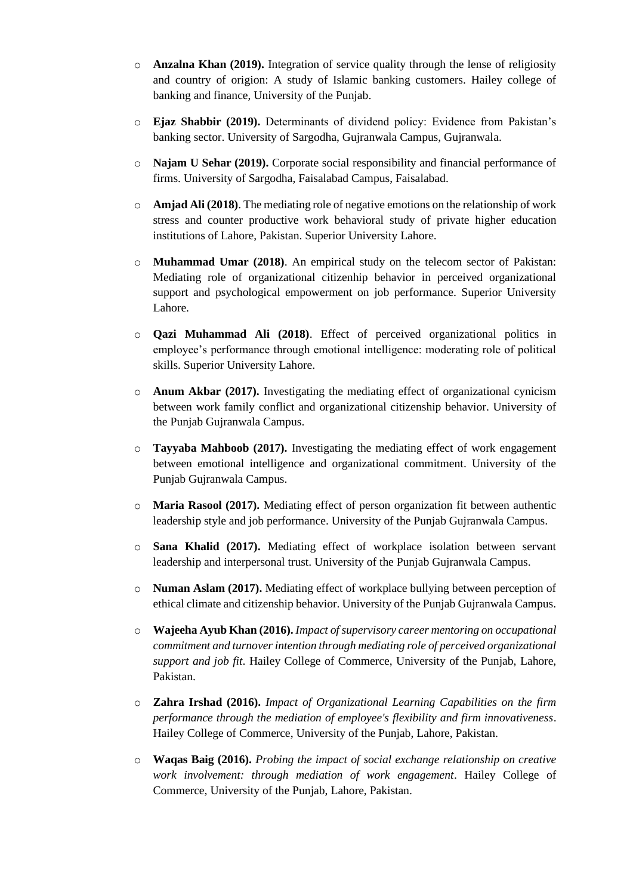- o **Anzalna Khan (2019).** Integration of service quality through the lense of religiosity and country of origion: A study of Islamic banking customers. Hailey college of banking and finance, University of the Punjab.
- o **Ejaz Shabbir (2019).** Determinants of dividend policy: Evidence from Pakistan's banking sector. University of Sargodha, Gujranwala Campus, Gujranwala.
- o **Najam U Sehar (2019).** Corporate social responsibility and financial performance of firms. University of Sargodha, Faisalabad Campus, Faisalabad.
- o **Amjad Ali (2018)**. The mediating role of negative emotions on the relationship of work stress and counter productive work behavioral study of private higher education institutions of Lahore, Pakistan. Superior University Lahore.
- o **Muhammad Umar (2018)**. An empirical study on the telecom sector of Pakistan: Mediating role of organizational citizenhip behavior in perceived organizational support and psychological empowerment on job performance. Superior University Lahore.
- o **Qazi Muhammad Ali (2018)**. Effect of perceived organizational politics in employee's performance through emotional intelligence: moderating role of political skills. Superior University Lahore.
- o **Anum Akbar (2017).** Investigating the mediating effect of organizational cynicism between work family conflict and organizational citizenship behavior. University of the Punjab Gujranwala Campus.
- o **Tayyaba Mahboob (2017).** Investigating the mediating effect of work engagement between emotional intelligence and organizational commitment. University of the Punjab Gujranwala Campus.
- o **Maria Rasool (2017).** Mediating effect of person organization fit between authentic leadership style and job performance. University of the Punjab Gujranwala Campus.
- o **Sana Khalid (2017).** Mediating effect of workplace isolation between servant leadership and interpersonal trust. University of the Punjab Gujranwala Campus.
- o **Numan Aslam (2017).** Mediating effect of workplace bullying between perception of ethical climate and citizenship behavior. University of the Punjab Gujranwala Campus.
- o **Wajeeha Ayub Khan (2016).** *Impact of supervisory career mentoring on occupational commitment and turnover intention through mediating role of perceived organizational support and job fit*. Hailey College of Commerce, University of the Punjab, Lahore, Pakistan.
- o **Zahra Irshad (2016).** *Impact of Organizational Learning Capabilities on the firm performance through the mediation of employee's flexibility and firm innovativeness*. Hailey College of Commerce, University of the Punjab, Lahore, Pakistan.
- o **Waqas Baig (2016).** *Probing the impact of social exchange relationship on creative work involvement: through mediation of work engagement*. Hailey College of Commerce, University of the Punjab, Lahore, Pakistan.